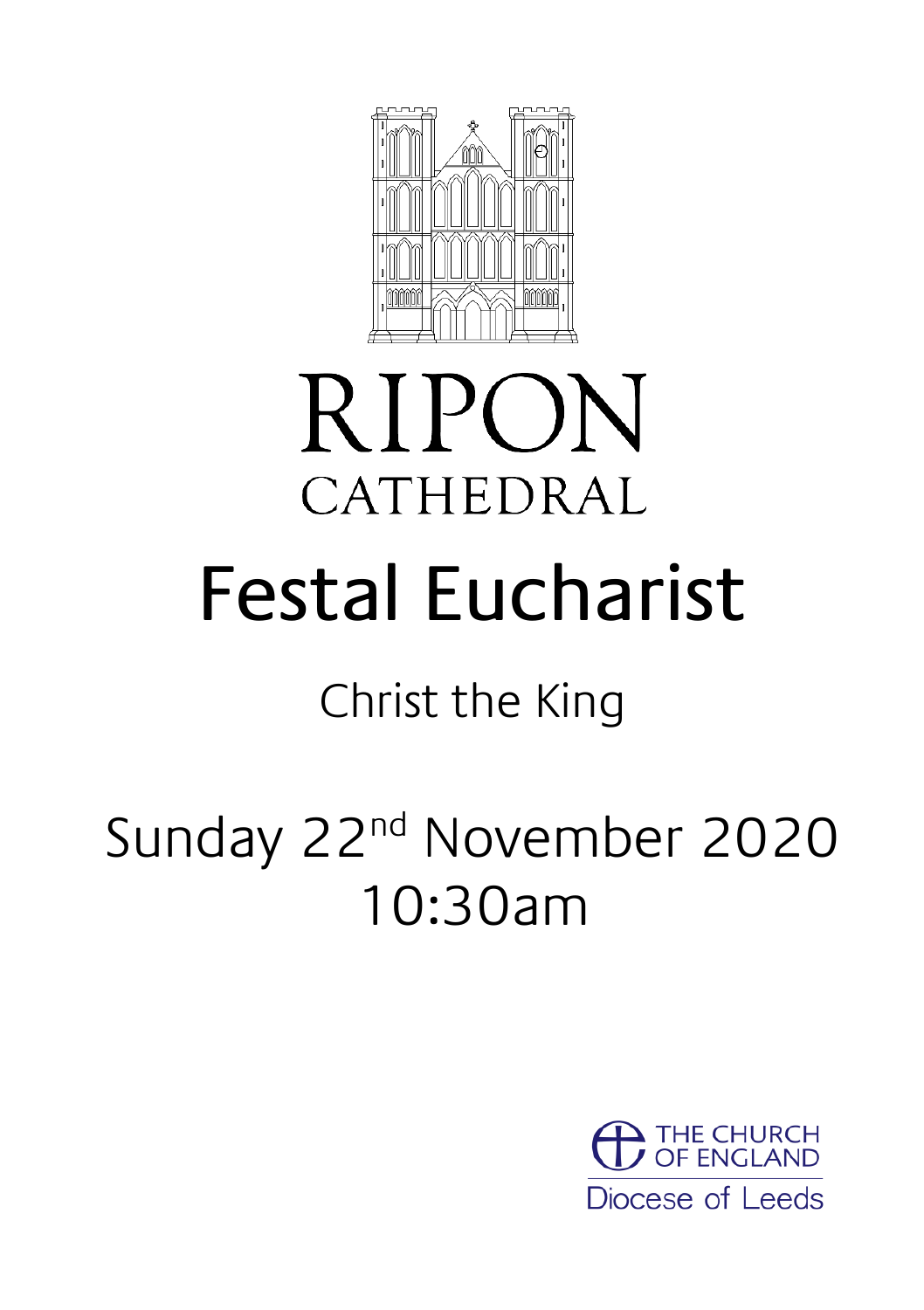

# **RIPON** CATHEDRAL Festal Eucharist

# Christ the King

# Sunday 22<sup>nd</sup> November 2020 10:30am

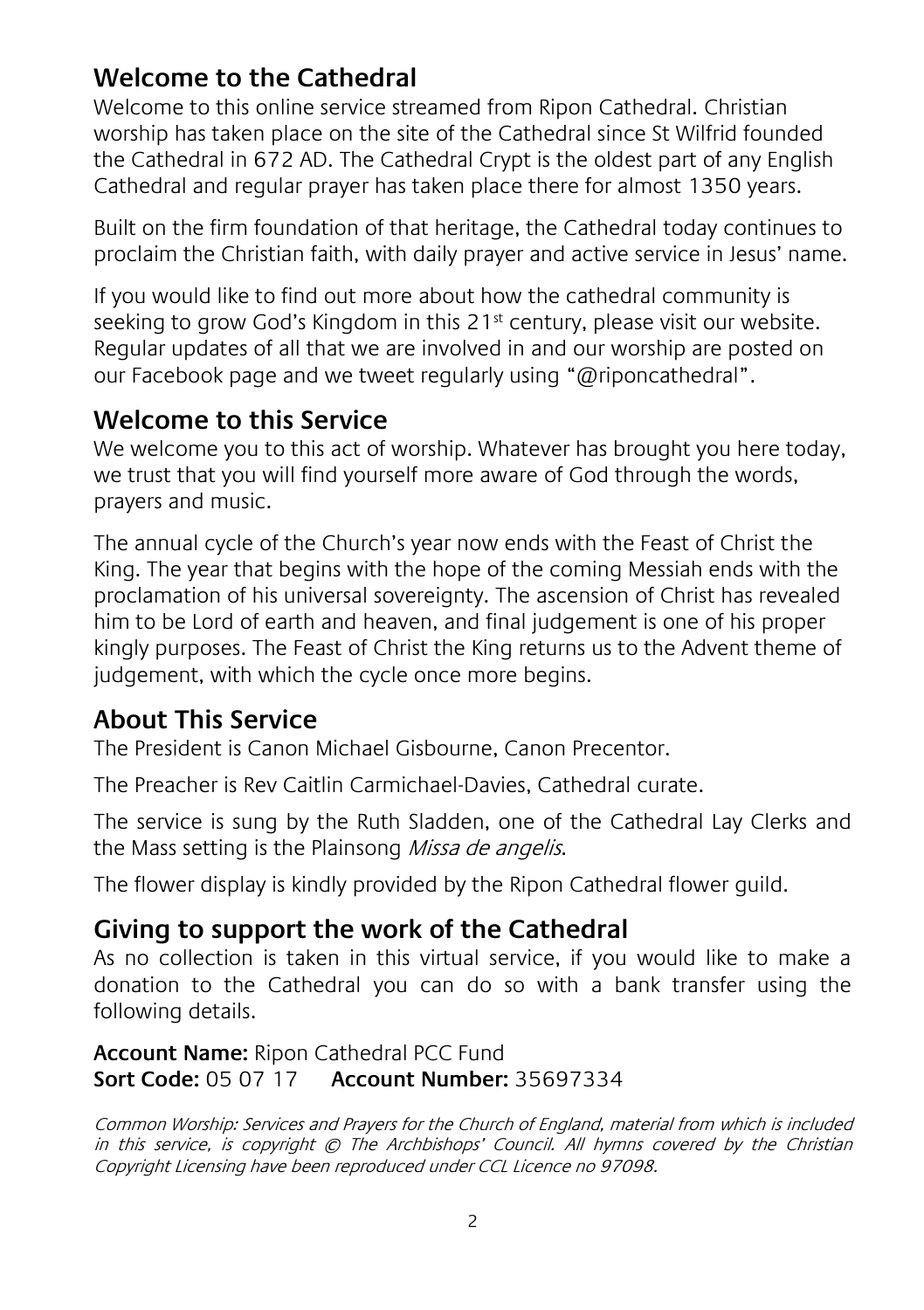#### **Welcome to the Cathedral**

Welcome to this online service streamed from Ripon Cathedral. Christian worship has taken place on the site of the Cathedral since St Wilfrid founded the Cathedral in 672 AD. The Cathedral Crypt is the oldest part of any English Cathedral and regular prayer has taken place there for almost 1350 years.

Built on the firm foundation of that heritage, the Cathedral today continues to proclaim the Christian faith, with daily prayer and active service in Jesus' name.

If you would like to find out more about how the cathedral community is seeking to grow God's Kingdom in this 21<sup>st</sup> century, please visit our website. Regular updates of all that we are involved in and our worship are posted on our Facebook page and we tweet regularly using "@riponcathedral".

#### **Welcome to this Service**

We welcome you to this act of worship. Whatever has brought you here today, we trust that you will find yourself more aware of God through the words, prayers and music.

The annual cycle of the Church's year now ends with the Feast of Christ the King. The year that begins with the hope of the coming Messiah ends with the proclamation of his universal sovereignty. The ascension of Christ has revealed him to be Lord of earth and heaven, and final judgement is one of his proper kingly purposes. The Feast of Christ the King returns us to the Advent theme of judgement, with which the cycle once more begins.

#### **About This Service**

The President is Canon Michael Gisbourne, Canon Precentor.

The Preacher is Rev Caitlin Carmichael-Davies, Cathedral curate.

The service is sung by the Ruth Sladden, one of the Cathedral Lay Clerks and the Mass setting is the Plainsong Missa de angelis.

The flower display is kindly provided by the Ripon Cathedral flower guild.

#### **Giving to support the work of the Cathedral**

As no collection is taken in this virtual service, if you would like to make a donation to the Cathedral you can do so with a bank transfer using the following details.

#### **Account Name:** Ripon Cathedral PCC Fund **Sort Code:** 05 07 17 **Account Number:** 35697334

Common Worship: Services and Prayers for the Church of England, material from which is included in this service, is copyright © The Archbishops' Council. All hymns covered by the Christian Copyright Licensing have been reproduced under CCL Licence no 97098.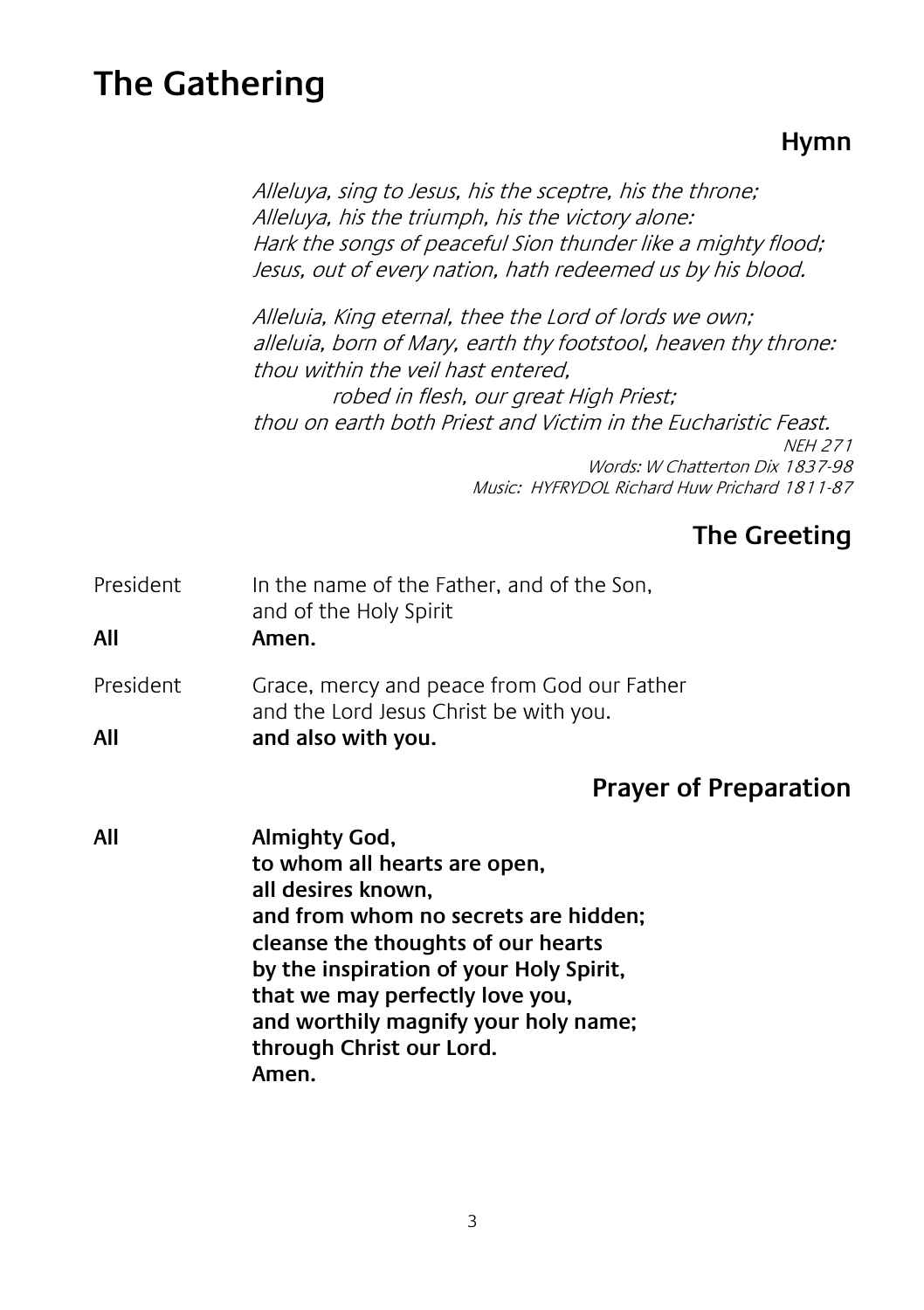## **The Gathering**

**Hymn**

Alleluya, sing to Jesus, his the sceptre, his the throne; Alleluya, his the triumph, his the victory alone: Hark the songs of peaceful Sion thunder like a mighty flood; Jesus, out of every nation, hath redeemed us by his blood.

Alleluia, King eternal, thee the Lord of lords we own; alleluia, born of Mary, earth thy footstool, heaven thy throne: thou within the veil hast entered, robed in flesh, our great High Priest; thou on earth both Priest and Victim in the Eucharistic Feast. NEH 271 Words: W Chatterton Dix 1837-98 Music: HYFRYDOL Richard Huw Prichard 1811-87

#### **The Greeting**

| President<br>All | In the name of the Father, and of the Son,<br>and of the Holy Spirit<br>Amen.                                                                                                                                                                                                                                |
|------------------|--------------------------------------------------------------------------------------------------------------------------------------------------------------------------------------------------------------------------------------------------------------------------------------------------------------|
| President<br>All | Grace, mercy and peace from God our Father<br>and the Lord Jesus Christ be with you.<br>and also with you.                                                                                                                                                                                                   |
|                  | <b>Prayer of Preparation</b>                                                                                                                                                                                                                                                                                 |
| All              | Almighty God,<br>to whom all hearts are open,<br>all desires known.<br>and from whom no secrets are hidden;<br>cleanse the thoughts of our hearts<br>by the inspiration of your Holy Spirit,<br>that we may perfectly love you,<br>and worthily magnify your holy name;<br>through Christ our Lord.<br>Amen. |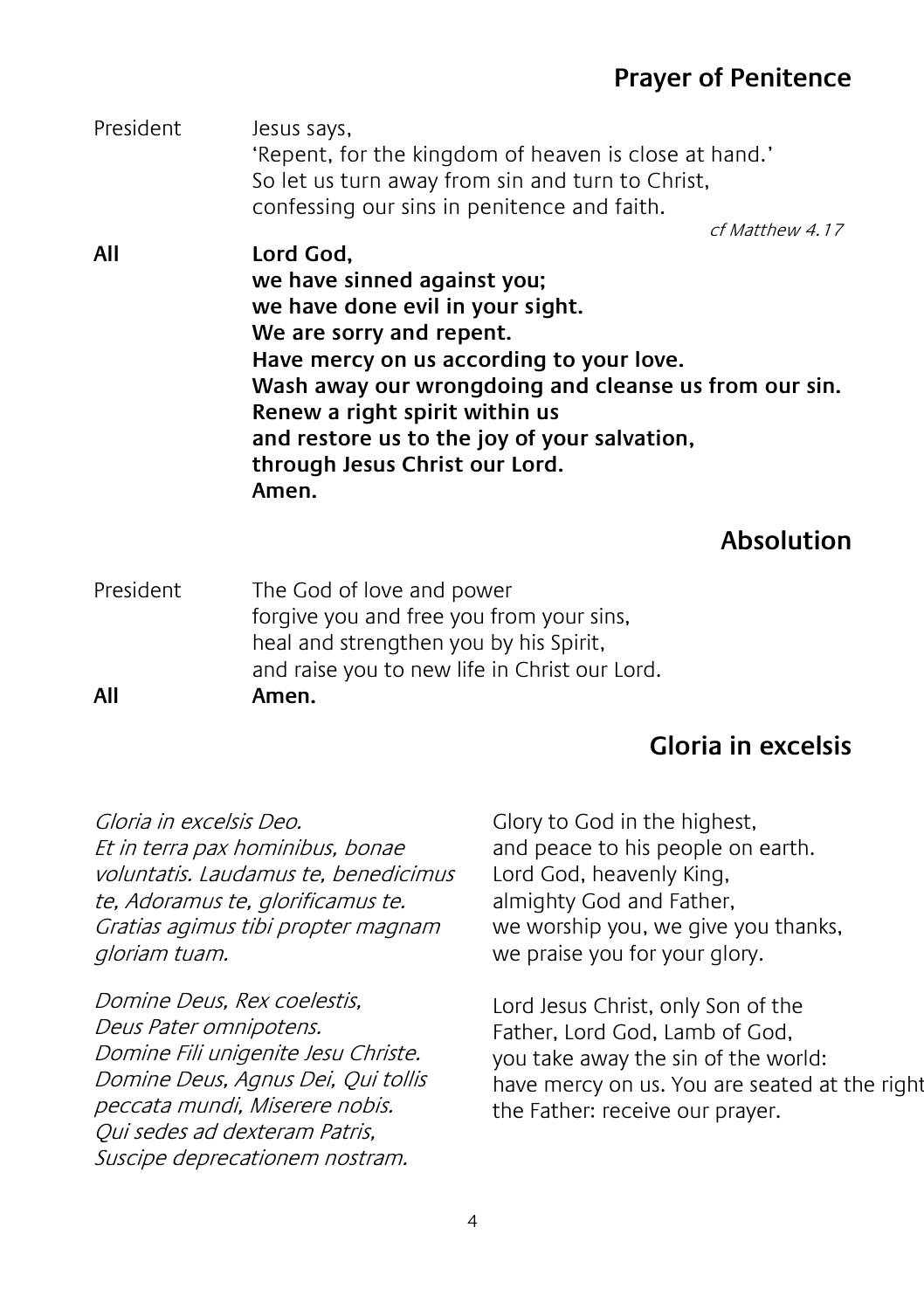#### **Prayer of Penitence**

| President        | Jesus says,<br>'Repent, for the kingdom of heaven is close at hand.'<br>So let us turn away from sin and turn to Christ,<br>confessing our sins in penitence and faith.                                                                                                                                                                    |                   |
|------------------|--------------------------------------------------------------------------------------------------------------------------------------------------------------------------------------------------------------------------------------------------------------------------------------------------------------------------------------------|-------------------|
| All              | Lord God,<br>we have sinned against you;<br>we have done evil in your sight.<br>We are sorry and repent.<br>Have mercy on us according to your love.<br>Wash away our wrongdoing and cleanse us from our sin.<br>Renew a right spirit within us<br>and restore us to the joy of your salvation,<br>through Jesus Christ our Lord.<br>Amen. | cf Matthew 4.17   |
|                  |                                                                                                                                                                                                                                                                                                                                            | <b>Absolution</b> |
| President<br>All | The God of love and power<br>forgive you and free you from your sins,<br>heal and strengthen you by his Spirit,<br>and raise you to new life in Christ our Lord.<br>Amen.                                                                                                                                                                  |                   |

#### **Gloria in excelsis**

Gloria in excelsis Deo. Et in terra pax hominibus, bonae voluntatis. Laudamus te, benedicimus te, Adoramus te, glorificamus te. Gratias agimus tibi propter magnam gloriam tuam.

Domine Deus, Rex coelestis, Deus Pater omnipotens. Domine Fili unigenite Jesu Christe. Domine Deus, Agnus Dei, Qui tollis peccata mundi, Miserere nobis. Qui sedes ad dexteram Patris, Suscipe deprecationem nostram.

Glory to God in the highest, and peace to his people on earth. Lord God, heavenly King, almighty God and Father, we worship you, we give you thanks, we praise you for your glory.

Lord Jesus Christ, only Son of the Father, Lord God, Lamb of God, you take away the sin of the world: have mercy on us. You are seated at the right the Father: receive our prayer.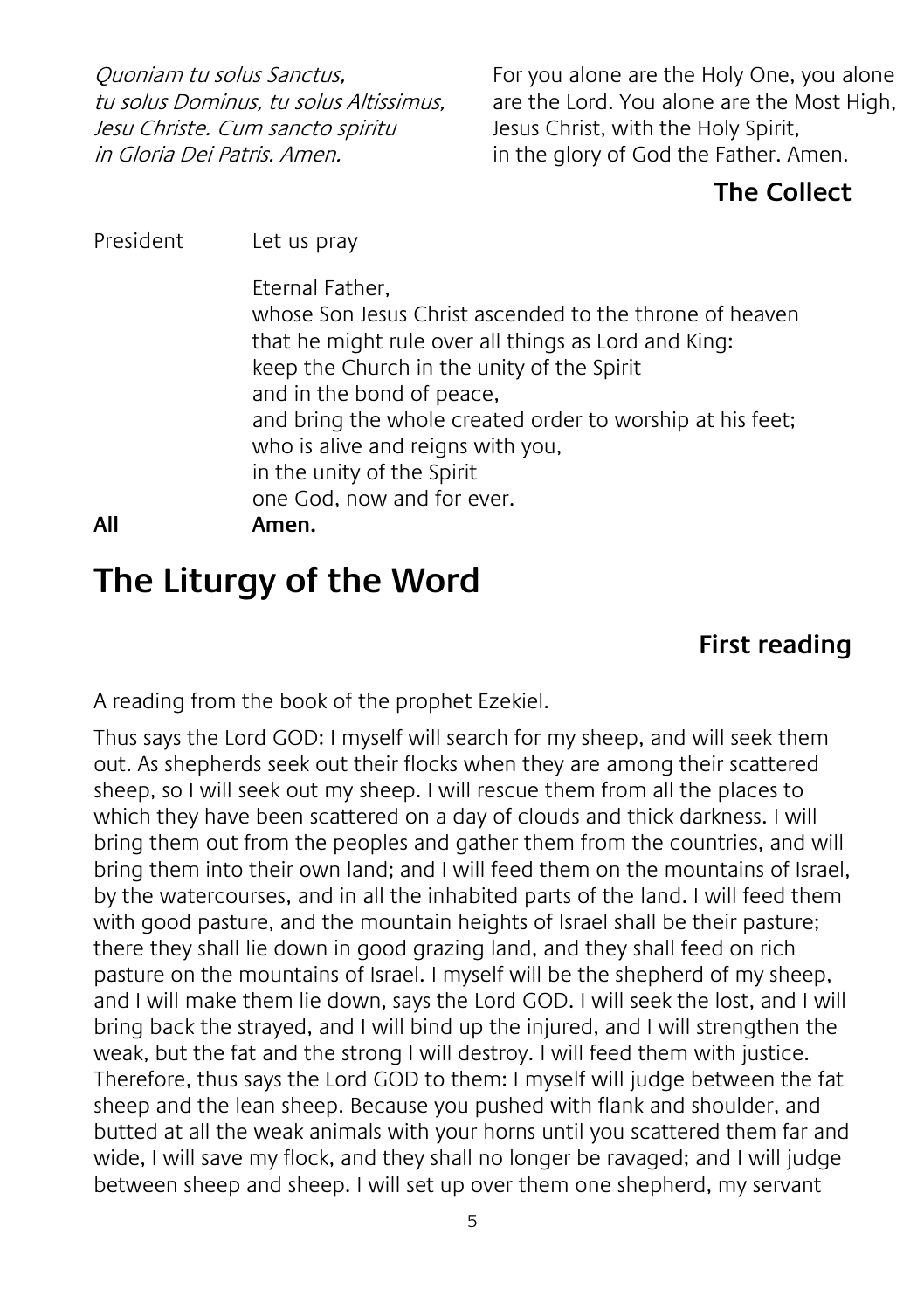Quoniam tu solus Sanctus, tu solus Dominus, tu solus Altissimus, Jesu Christe. Cum sancto spiritu in Gloria Dei Patris. Amen.

For you alone are the Holy One, you alone are the Lord. You alone are the Most High, Jesus Christ, with the Holy Spirit, in the glory of God the Father. Amen.

#### **The Collect**

President Let us pray Eternal Father, whose Son Jesus Christ ascended to the throne of heaven that he might rule over all things as Lord and King: keep the Church in the unity of the Spirit and in the bond of peace, and bring the whole created order to worship at his feet; who is alive and reigns with you, in the unity of the Spirit one God, now and for ever. **All Amen.**

### **The Liturgy of the Word**

#### **First reading**

A reading from the book of the prophet Ezekiel.

Thus says the Lord GOD: I myself will search for my sheep, and will seek them out. As shepherds seek out their flocks when they are among their scattered sheep, so I will seek out my sheep. I will rescue them from all the places to which they have been scattered on a day of clouds and thick darkness. I will bring them out from the peoples and gather them from the countries, and will bring them into their own land; and I will feed them on the mountains of Israel, by the watercourses, and in all the inhabited parts of the land. I will feed them with good pasture, and the mountain heights of Israel shall be their pasture; there they shall lie down in good grazing land, and they shall feed on rich pasture on the mountains of Israel. I myself will be the shepherd of my sheep, and I will make them lie down, says the Lord GOD. I will seek the lost, and I will bring back the strayed, and I will bind up the injured, and I will strengthen the weak, but the fat and the strong I will destroy. I will feed them with justice. Therefore, thus says the Lord GOD to them: I myself will judge between the fat sheep and the lean sheep. Because you pushed with flank and shoulder, and butted at all the weak animals with your horns until you scattered them far and wide, I will save my flock, and they shall no longer be ravaged; and I will judge between sheep and sheep. I will set up over them one shepherd, my servant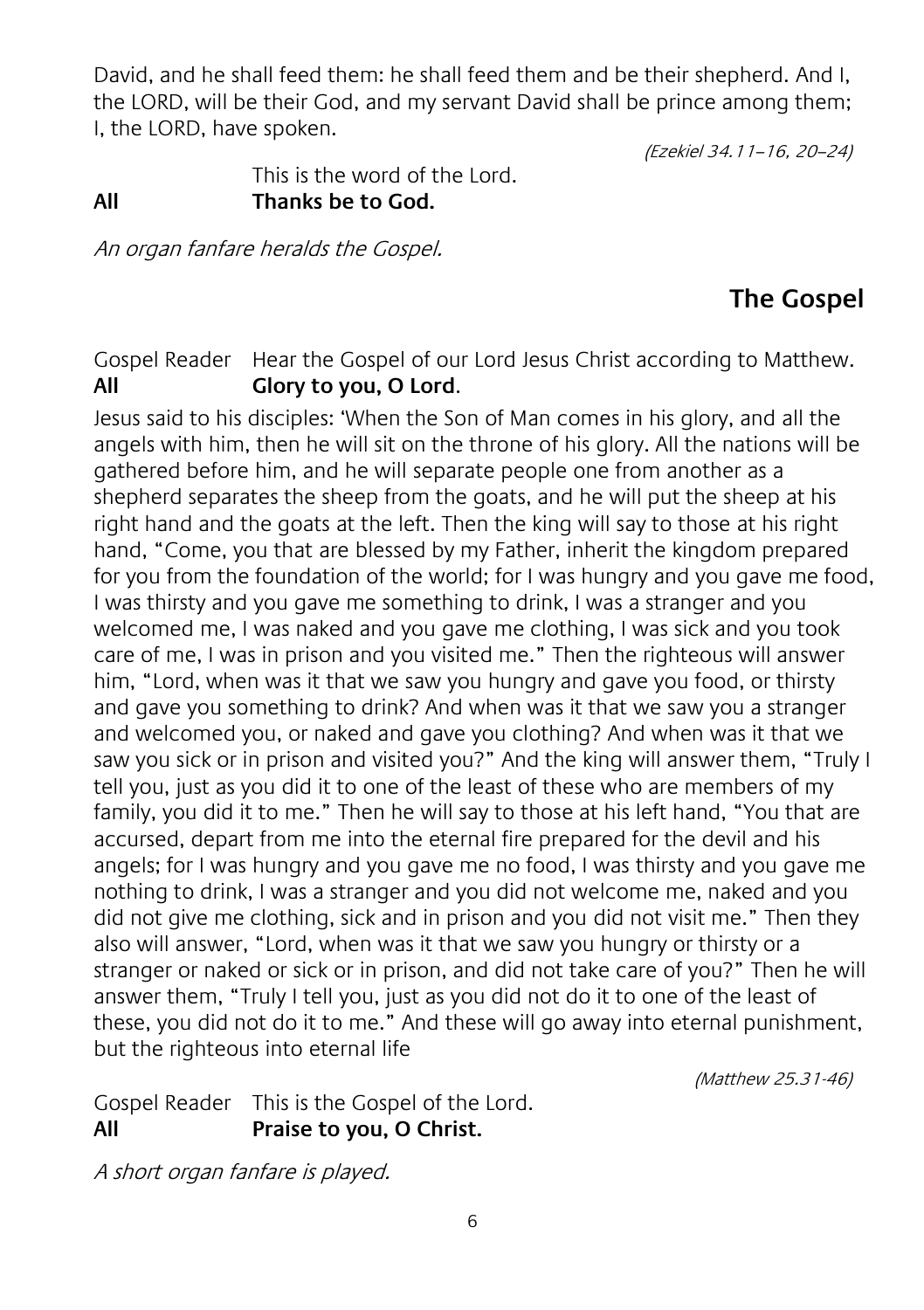David, and he shall feed them: he shall feed them and be their shepherd. And I, the LORD, will be their God, and my servant David shall be prince among them; I, the LORD, have spoken.

(Ezekiel 34.11–16, 20–24)

This is the word of the Lord. **All Thanks be to God.**

An organ fanfare heralds the Gospel.

#### **The Gospel**

Gospel Reader Hear the Gospel of our Lord Jesus Christ according to Matthew. **All Glory to you, O Lord**.

Jesus said to his disciples: 'When the Son of Man comes in his glory, and all the angels with him, then he will sit on the throne of his glory. All the nations will be gathered before him, and he will separate people one from another as a shepherd separates the sheep from the goats, and he will put the sheep at his right hand and the goats at the left. Then the king will say to those at his right hand, "Come, you that are blessed by my Father, inherit the kingdom prepared for you from the foundation of the world; for I was hungry and you gave me food, I was thirsty and you gave me something to drink, I was a stranger and you welcomed me, I was naked and you gave me clothing, I was sick and you took care of me, I was in prison and you visited me." Then the righteous will answer him, "Lord, when was it that we saw you hungry and gave you food, or thirsty and gave you something to drink? And when was it that we saw you a stranger and welcomed you, or naked and gave you clothing? And when was it that we saw you sick or in prison and visited you?" And the king will answer them, "Truly I tell you, just as you did it to one of the least of these who are members of my family, you did it to me." Then he will say to those at his left hand, "You that are accursed, depart from me into the eternal fire prepared for the devil and his angels; for I was hungry and you gave me no food, I was thirsty and you gave me nothing to drink, I was a stranger and you did not welcome me, naked and you did not give me clothing, sick and in prison and you did not visit me." Then they also will answer, "Lord, when was it that we saw you hungry or thirsty or a stranger or naked or sick or in prison, and did not take care of you?" Then he will answer them, "Truly I tell you, just as you did not do it to one of the least of these, you did not do it to me." And these will go away into eternal punishment, but the righteous into eternal life

(Matthew 25.31-46)

Gospel Reader This is the Gospel of the Lord. **All Praise to you, O Christ.**

A short organ fanfare is played.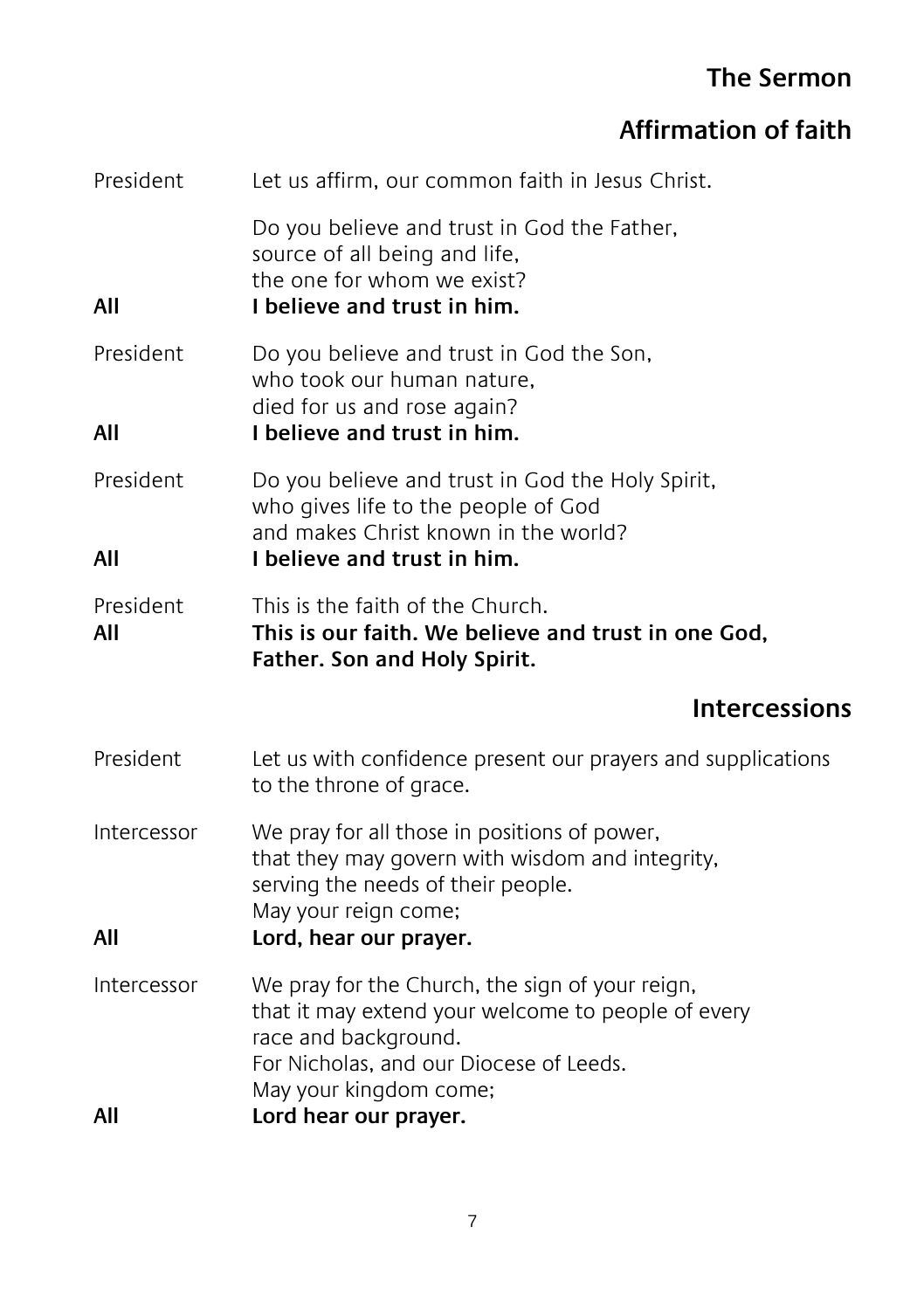#### **The Sermon**

#### **Affirmation of faith**

| President          | Let us affirm, our common faith in Jesus Christ.                                                                                                                                                                            |
|--------------------|-----------------------------------------------------------------------------------------------------------------------------------------------------------------------------------------------------------------------------|
| All                | Do you believe and trust in God the Father,<br>source of all being and life,<br>the one for whom we exist?<br>I believe and trust in him.                                                                                   |
| President<br>All   | Do you believe and trust in God the Son,<br>who took our human nature,<br>died for us and rose again?<br>I believe and trust in him.                                                                                        |
| President<br>All   | Do you believe and trust in God the Holy Spirit,<br>who gives life to the people of God<br>and makes Christ known in the world?<br>I believe and trust in him.                                                              |
| President<br>All   | This is the faith of the Church.<br>This is our faith. We believe and trust in one God,<br>Father. Son and Holy Spirit.                                                                                                     |
|                    | <b>Intercessions</b>                                                                                                                                                                                                        |
| President          | Let us with confidence present our prayers and supplications<br>to the throne of grace.                                                                                                                                     |
| Intercessor<br>All | We pray for all those in positions of power,<br>that they may govern with wisdom and integrity,<br>serving the needs of their people.<br>May your reign come;<br>Lord, hear our prayer.                                     |
| Intercessor<br>All | We pray for the Church, the sign of your reign,<br>that it may extend your welcome to people of every<br>race and background.<br>For Nicholas, and our Diocese of Leeds.<br>May your kingdom come;<br>Lord hear our prayer. |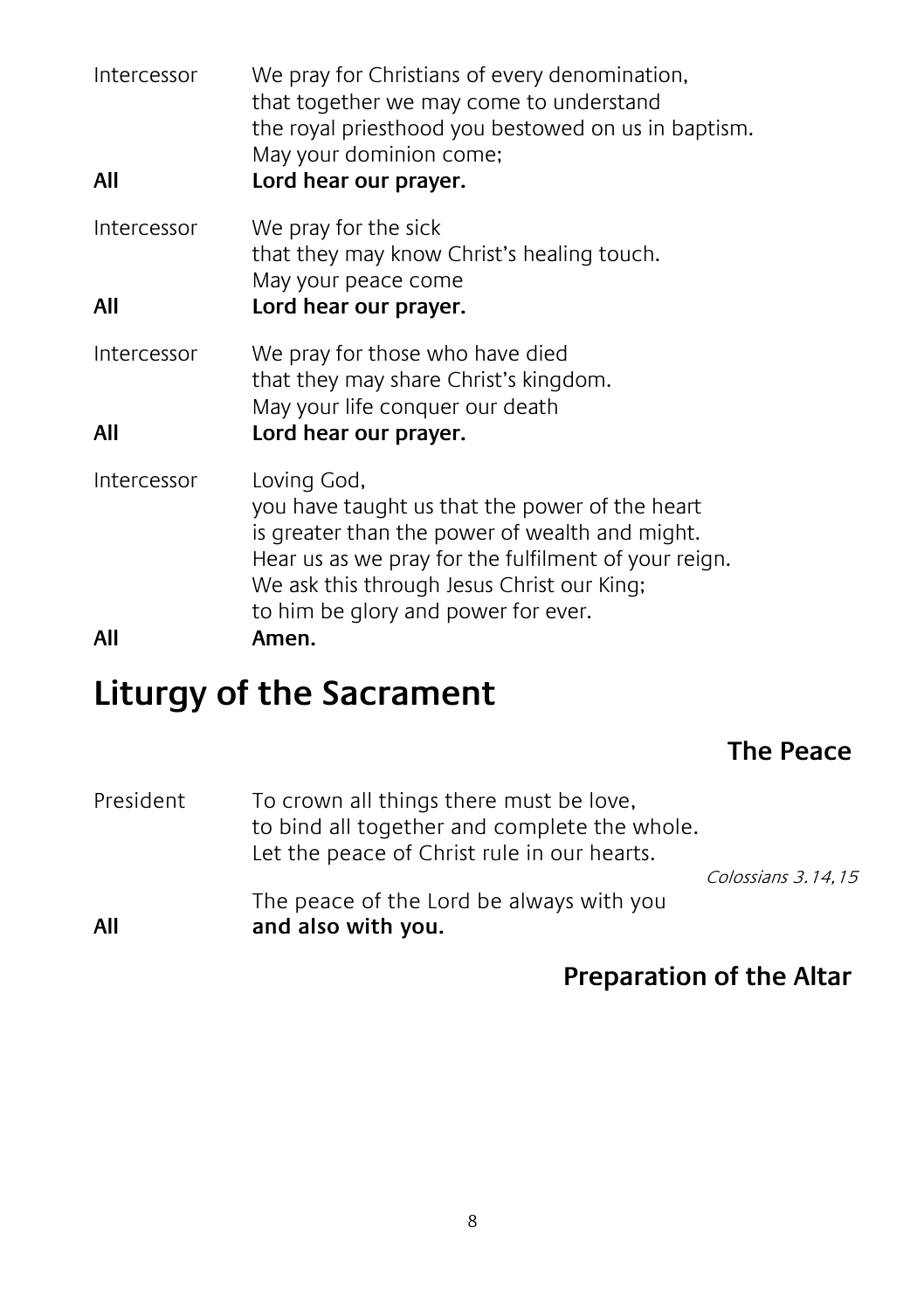| Intercessor<br>All | We pray for Christians of every denomination,<br>that together we may come to understand<br>the royal priesthood you bestowed on us in baptism.<br>May your dominion come;<br>Lord hear our prayer.                                                          |
|--------------------|--------------------------------------------------------------------------------------------------------------------------------------------------------------------------------------------------------------------------------------------------------------|
| Intercessor<br>All | We pray for the sick<br>that they may know Christ's healing touch.<br>May your peace come<br>Lord hear our prayer.                                                                                                                                           |
| Intercessor<br>All | We pray for those who have died<br>that they may share Christ's kingdom.<br>May your life conquer our death<br>Lord hear our prayer.                                                                                                                         |
| Intercessor        | Loving God,<br>you have taught us that the power of the heart<br>is greater than the power of wealth and might.<br>Hear us as we pray for the fulfilment of your reign.<br>We ask this through Jesus Christ our King;<br>to him be glory and power for ever. |
| All                | Amen.                                                                                                                                                                                                                                                        |

# **Liturgy of the Sacrament**

#### **The Peace**

| President | To crown all things there must be love,<br>to bind all together and complete the whole.<br>Let the peace of Christ rule in our hearts. |                    |
|-----------|----------------------------------------------------------------------------------------------------------------------------------------|--------------------|
| All       | The peace of the Lord be always with you<br>and also with you.                                                                         | Colossians 3.14,15 |

#### **Preparation of the Altar**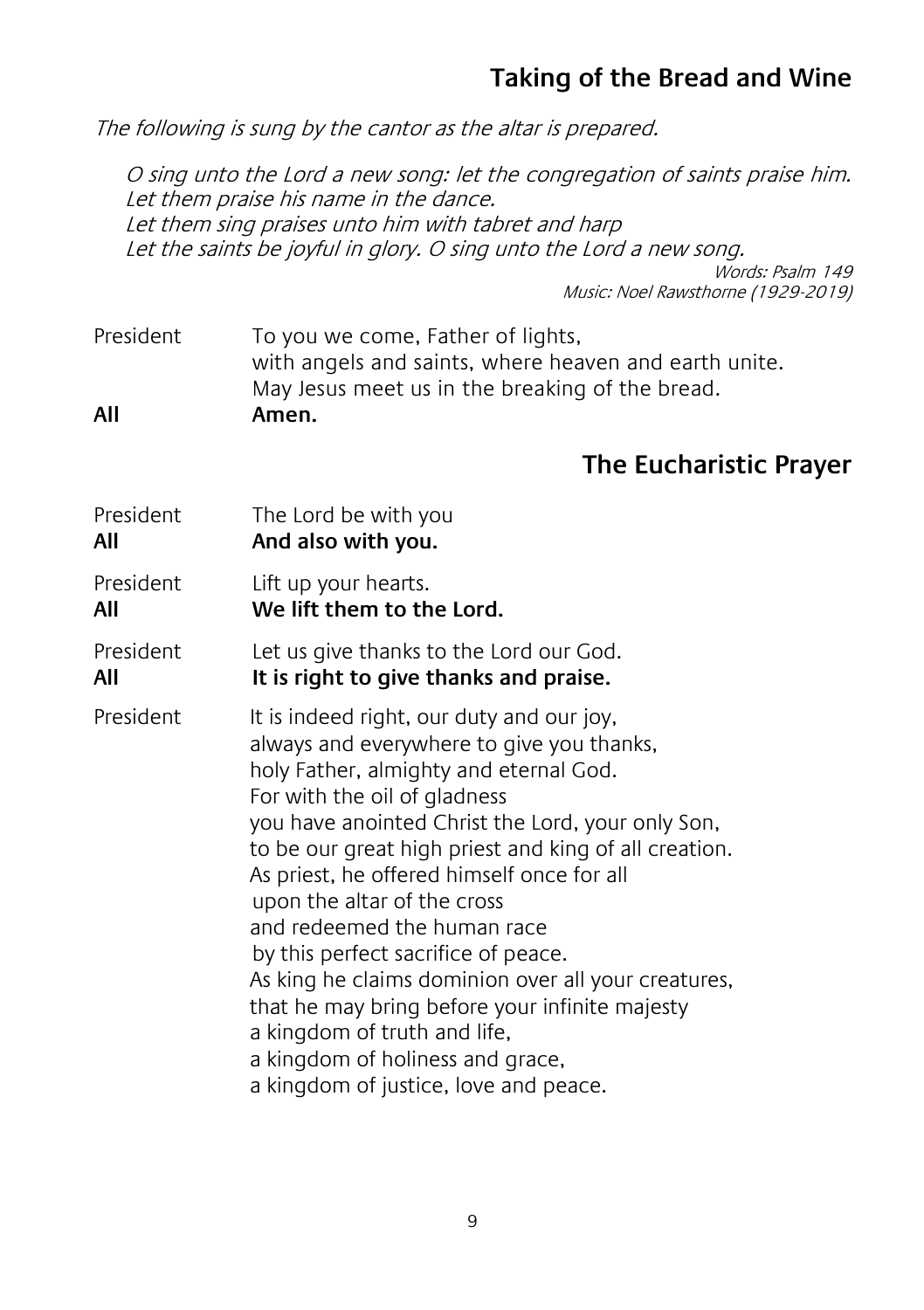#### **Taking of the Bread and Wine**

The following is sung by the cantor as the altar is prepared.

O sing unto the Lord a new song: let the congregation of saints praise him. Let them praise his name in the dance. Let them sing praises unto him with tabret and harp Let the saints be joyful in glory. O sing unto the Lord a new song.

Words: Psalm 149 Music: Noel Rawsthorne (1929-2019)

President To you we come, Father of lights, with angels and saints, where heaven and earth unite. May Jesus meet us in the breaking of the bread. **All Amen.**

#### **The Eucharistic Prayer**

President The Lord be with you **All And also with you.** President Lift up your hearts. **All We lift them to the Lord.** President Let us give thanks to the Lord our God. **All It is right to give thanks and praise.** President It is indeed right, our duty and our joy, always and everywhere to give you thanks, holy Father, almighty and eternal God. For with the oil of gladness you have anointed Christ the Lord, your only Son, to be our great high priest and king of all creation. As priest, he offered himself once for all upon the altar of the cross and redeemed the human race by this perfect sacrifice of peace. As king he claims dominion over all your creatures, that he may bring before your infinite majesty a kingdom of truth and life, a kingdom of holiness and grace, a kingdom of justice, love and peace.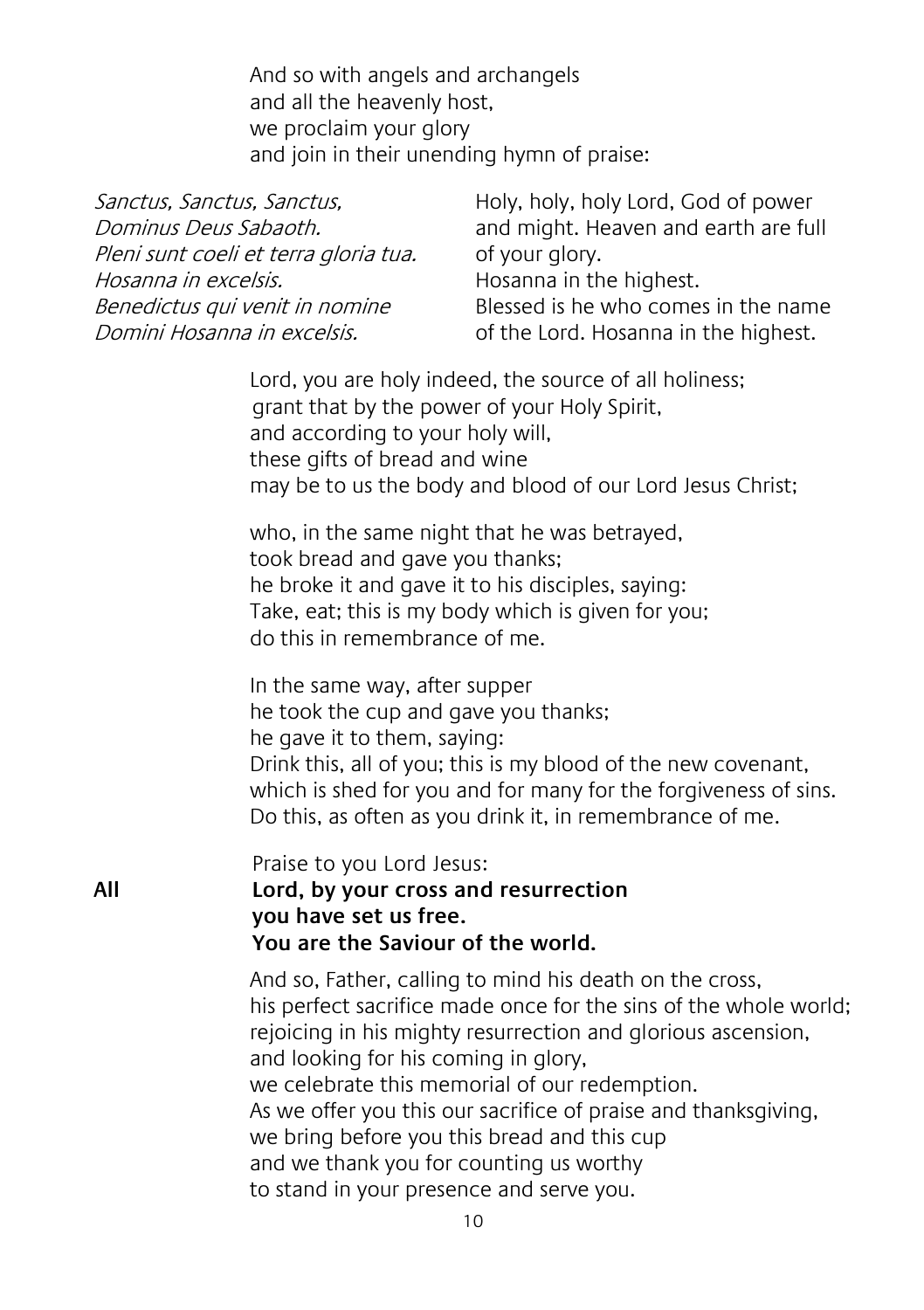And so with angels and archangels and all the heavenly host, we proclaim your glory and join in their unending hymn of praise:

| Sanctus, Sanctus, Sanctus,            | Holy, holy, holy Lord, God of power  |
|---------------------------------------|--------------------------------------|
| Dominus Deus Sabaoth.                 | and might. Heaven and earth are full |
| Pleni sunt coeli et terra gloria tua. | of your glory.                       |
| Hosanna in excelsis.                  | Hosanna in the highest.              |
| Benedictus qui venit in nomine        | Blessed is he who comes in the name  |
| Domini Hosanna in excelsis.           | of the Lord. Hosanna in the highest. |

Lord, you are holy indeed, the source of all holiness; grant that by the power of your Holy Spirit, and according to your holy will, these gifts of bread and wine may be to us the body and blood of our Lord Jesus Christ;

who, in the same night that he was betrayed, took bread and gave you thanks; he broke it and gave it to his disciples, saying: Take, eat; this is my body which is given for you; do this in remembrance of me.

In the same way, after supper he took the cup and gave you thanks; he gave it to them, saying: Drink this, all of you; this is my blood of the new covenant, which is shed for you and for many for the forgiveness of sins. Do this, as often as you drink it, in remembrance of me.

Praise to you Lord Jesus: **All Lord, by your cross and resurrection you have set us free. You are the Saviour of the world.**

> And so, Father, calling to mind his death on the cross, his perfect sacrifice made once for the sins of the whole world; rejoicing in his mighty resurrection and glorious ascension, and looking for his coming in glory, we celebrate this memorial of our redemption. As we offer you this our sacrifice of praise and thanksgiving, we bring before you this bread and this cup and we thank you for counting us worthy to stand in your presence and serve you.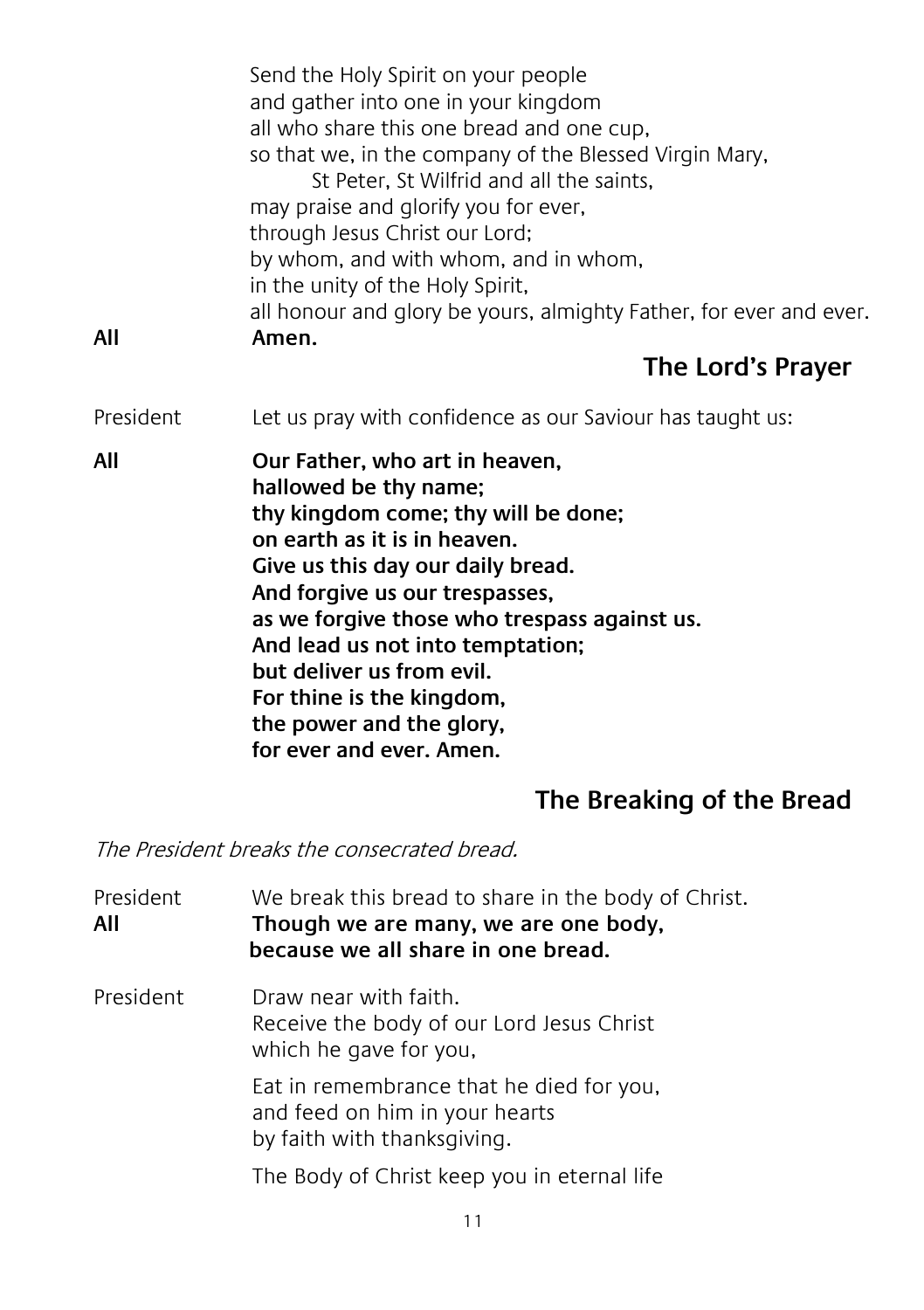| All              | Send the Holy Spirit on your people<br>and gather into one in your kingdom<br>all who share this one bread and one cup,<br>so that we, in the company of the Blessed Virgin Mary,<br>St Peter, St Wilfrid and all the saints,<br>may praise and glorify you for ever,<br>through Jesus Christ our Lord;<br>by whom, and with whom, and in whom,<br>in the unity of the Holy Spirit,<br>all honour and glory be yours, almighty Father, for ever and ever.<br>Amen.<br>The Lord's Prayer |
|------------------|-----------------------------------------------------------------------------------------------------------------------------------------------------------------------------------------------------------------------------------------------------------------------------------------------------------------------------------------------------------------------------------------------------------------------------------------------------------------------------------------|
| <b>President</b> | Let us pray with confidence as our Saviour has taught us:                                                                                                                                                                                                                                                                                                                                                                                                                               |
| All              | Our Father, who art in heaven,<br>hallowed be thy name;<br>thy kingdom come; thy will be done;<br>on earth as it is in heaven.<br>Give us this day our daily bread.<br>And forgive us our trespasses,<br>as we forgive those who trespass against us.<br>And lead us not into temptation;<br>but deliver us from evil.<br>For thine is the kingdom,<br>the power and the glory,<br>for ever and ever. Amen.                                                                             |
|                  | The Breaking of the Bread                                                                                                                                                                                                                                                                                                                                                                                                                                                               |

The President breaks the consecrated bread.

| President<br>All | We break this bread to share in the body of Christ.<br>Though we are many, we are one body,<br>because we all share in one bread. |
|------------------|-----------------------------------------------------------------------------------------------------------------------------------|
| President        | Draw near with faith.<br>Receive the body of our Lord Jesus Christ<br>which he gave for you,                                      |
|                  | Eat in remembrance that he died for you,<br>and feed on him in your hearts<br>by faith with thanksgiving.                         |
|                  | The Body of Christ keep you in eternal life                                                                                       |